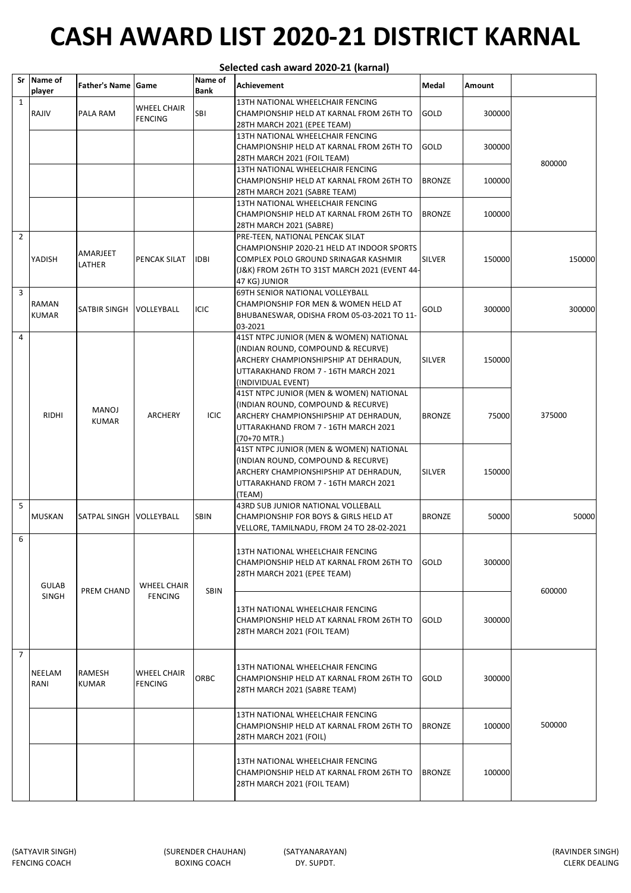|                | Selected cash award 2020-21 (karnal) |                         |                                      |                        |                                                                                                                                                                                         |               |        |        |  |
|----------------|--------------------------------------|-------------------------|--------------------------------------|------------------------|-----------------------------------------------------------------------------------------------------------------------------------------------------------------------------------------|---------------|--------|--------|--|
|                | Sr Name of<br>player                 | Father's Name Game      |                                      | Name of<br><b>Bank</b> | Achievement                                                                                                                                                                             | Medal         | Amount |        |  |
| $\mathbf{1}$   | RAJIV                                | <b>PALA RAM</b>         | <b>WHEEL CHAIR</b><br><b>FENCING</b> | SBI                    | 13TH NATIONAL WHEELCHAIR FENCING<br>CHAMPIONSHIP HELD AT KARNAL FROM 26TH TO<br>28TH MARCH 2021 (EPEE TEAM)                                                                             | <b>GOLD</b>   | 300000 |        |  |
|                |                                      |                         |                                      |                        | 13TH NATIONAL WHEELCHAIR FENCING<br>CHAMPIONSHIP HELD AT KARNAL FROM 26TH TO<br>28TH MARCH 2021 (FOIL TEAM)                                                                             | GOLD          | 300000 | 800000 |  |
|                |                                      |                         |                                      |                        | 13TH NATIONAL WHEELCHAIR FENCING<br>CHAMPIONSHIP HELD AT KARNAL FROM 26TH TO<br>28TH MARCH 2021 (SABRE TEAM)                                                                            | <b>BRONZE</b> | 100000 |        |  |
|                |                                      |                         |                                      |                        | 13TH NATIONAL WHEELCHAIR FENCING<br>CHAMPIONSHIP HELD AT KARNAL FROM 26TH TO<br>28TH MARCH 2021 (SABRE)                                                                                 | <b>BRONZE</b> | 100000 |        |  |
| $\overline{2}$ | YADISH                               | AMARJEET<br>LATHER      | PENCAK SILAT                         | <b>IDBI</b>            | PRE-TEEN, NATIONAL PENCAK SILAT<br>CHAMPIONSHIP 2020-21 HELD AT INDOOR SPORTS<br>COMPLEX POLO GROUND SRINAGAR KASHMIR<br>(J&K) FROM 26TH TO 31ST MARCH 2021 (EVENT 44-<br>47 KG) JUNIOR | SILVER        | 150000 | 150000 |  |
| 3              | RAMAN<br><b>KUMAR</b>                | SATBIR SINGH            | VOLLEYBALL                           | <b>ICIC</b>            | 69TH SENIOR NATIONAL VOLLEYBALL<br>CHAMPIONSHIP FOR MEN & WOMEN HELD AT<br>BHUBANESWAR, ODISHA FROM 05-03-2021 TO 11-<br>03-2021                                                        | GOLD          | 300000 | 300000 |  |
| 4              |                                      |                         |                                      |                        | 41ST NTPC JUNIOR (MEN & WOMEN) NATIONAL<br>(INDIAN ROUND, COMPOUND & RECURVE)<br>ARCHERY CHAMPIONSHIPSHIP AT DEHRADUN,<br>UTTARAKHAND FROM 7 - 16TH MARCH 2021<br>(INDIVIDUAL EVENT)    | <b>SILVER</b> | 150000 |        |  |
|                | <b>RIDHI</b>                         | MANOJ<br><b>KUMAR</b>   | <b>ARCHERY</b>                       | <b>ICIC</b>            | 41ST NTPC JUNIOR (MEN & WOMEN) NATIONAL<br>(INDIAN ROUND, COMPOUND & RECURVE)<br>ARCHERY CHAMPIONSHIPSHIP AT DEHRADUN,<br>UTTARAKHAND FROM 7 - 16TH MARCH 2021<br>$(70+70$ MTR.)        | <b>BRONZE</b> | 75000  | 375000 |  |
|                |                                      |                         |                                      |                        | 41ST NTPC JUNIOR (MEN & WOMEN) NATIONAL<br>(INDIAN ROUND, COMPOUND & RECURVE)<br>ARCHERY CHAMPIONSHIPSHIP AT DEHRADUN,<br>UTTARAKHAND FROM 7 - 16TH MARCH 2021<br>(TEAM)                | <b>SILVER</b> | 150000 |        |  |
| 5              | <b>MUSKAN</b>                        | SATPAL SINGH VOLLEYBALL |                                      | <b>SBIN</b>            | 43RD SUB JUNIOR NATIONAL VOLLEBALL<br>CHAMPIONSHIP FOR BOYS & GIRLS HELD AT<br>VELLORE, TAMILNADU, FROM 24 TO 28-02-2021                                                                | <b>BRONZE</b> | 50000  | 50000  |  |
| 6              | <b>GULAB</b>                         | PREM CHAND              | WHEEL CHAIR                          | <b>SBIN</b>            | 13TH NATIONAL WHEELCHAIR FENCING<br>CHAMPIONSHIP HELD AT KARNAL FROM 26TH TO<br>28TH MARCH 2021 (EPEE TEAM)                                                                             | <b>GOLD</b>   | 300000 |        |  |
|                | <b>SINGH</b>                         |                         | <b>FENCING</b>                       |                        | 13TH NATIONAL WHEELCHAIR FENCING<br>CHAMPIONSHIP HELD AT KARNAL FROM 26TH TO<br>28TH MARCH 2021 (FOIL TEAM)                                                                             | <b>GOLD</b>   | 300000 | 600000 |  |
| $\overline{7}$ | NEELAM<br>RANI                       | RAMESH<br><b>KUMAR</b>  | <b>WHEEL CHAIR</b><br><b>FENCING</b> | ORBC                   | 13TH NATIONAL WHEELCHAIR FENCING<br>CHAMPIONSHIP HELD AT KARNAL FROM 26TH TO<br>28TH MARCH 2021 (SABRE TEAM)                                                                            | <b>GOLD</b>   | 300000 |        |  |
|                |                                      |                         |                                      |                        | 13TH NATIONAL WHEELCHAIR FENCING<br>CHAMPIONSHIP HELD AT KARNAL FROM 26TH TO<br>28TH MARCH 2021 (FOIL)                                                                                  | <b>BRONZE</b> | 100000 | 500000 |  |
|                |                                      |                         |                                      |                        | 13TH NATIONAL WHEELCHAIR FENCING<br>CHAMPIONSHIP HELD AT KARNAL FROM 26TH TO<br>28TH MARCH 2021 (FOIL TEAM)                                                                             | <b>BRONZE</b> | 100000 |        |  |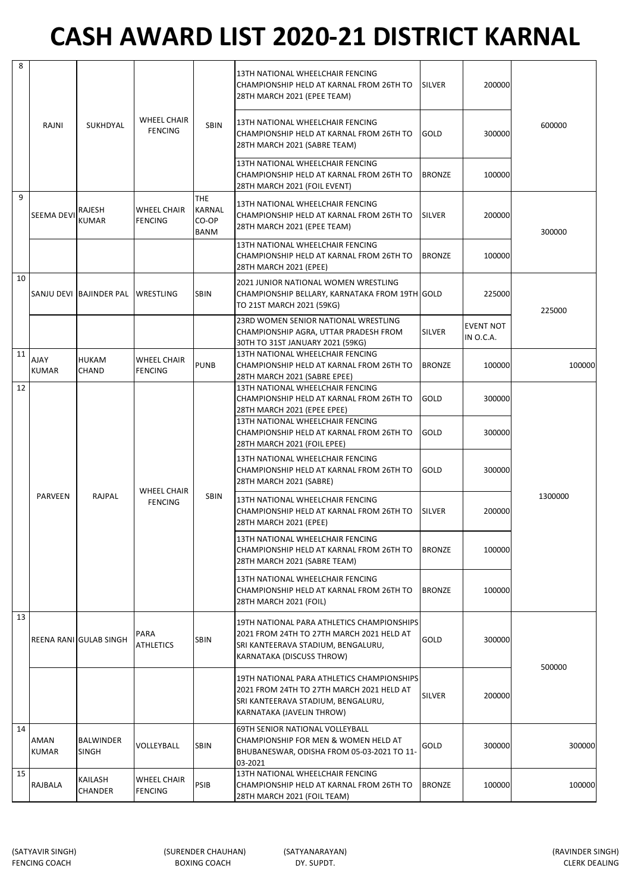| 8  |                      |                           |                                      |                                                     | 13TH NATIONAL WHEELCHAIR FENCING<br>CHAMPIONSHIP HELD AT KARNAL FROM 26TH TO<br>28TH MARCH 2021 (EPEE TEAM)                                                | <b>SILVER</b> | 200000                        |         |
|----|----------------------|---------------------------|--------------------------------------|-----------------------------------------------------|------------------------------------------------------------------------------------------------------------------------------------------------------------|---------------|-------------------------------|---------|
|    | RAJNI                | <b>SUKHDYAL</b>           | <b>WHEEL CHAIR</b><br><b>FENCING</b> | <b>SBIN</b>                                         | 13TH NATIONAL WHEELCHAIR FENCING<br>CHAMPIONSHIP HELD AT KARNAL FROM 26TH TO<br>28TH MARCH 2021 (SABRE TEAM)                                               | GOLD          | 300000                        | 600000  |
|    |                      |                           |                                      |                                                     | 13TH NATIONAL WHEELCHAIR FENCING<br>CHAMPIONSHIP HELD AT KARNAL FROM 26TH TO<br>28TH MARCH 2021 (FOIL EVENT)                                               | <b>BRONZE</b> | 100000                        |         |
| 9  | SEEMA DEVI           | RAJESH<br><b>KUMAR</b>    | WHEEL CHAIR<br><b>FENCING</b>        | <b>THE</b><br><b>KARNAL</b><br>CO-OP<br><b>BANM</b> | 13TH NATIONAL WHEELCHAIR FENCING<br>CHAMPIONSHIP HELD AT KARNAL FROM 26TH TO<br>28TH MARCH 2021 (EPEE TEAM)                                                | <b>SILVER</b> | 200000                        | 300000  |
|    |                      |                           |                                      |                                                     | 13TH NATIONAL WHEELCHAIR FENCING<br>CHAMPIONSHIP HELD AT KARNAL FROM 26TH TO<br>28TH MARCH 2021 (EPEE)                                                     | <b>BRONZE</b> | 100000                        |         |
| 10 |                      | SANJU DEVI BAJINDER PAL   | <b>WRESTLING</b>                     | <b>SBIN</b>                                         | 2021 JUNIOR NATIONAL WOMEN WRESTLING<br>CHAMPIONSHIP BELLARY, KARNATAKA FROM 19TH GOLD<br>TO 21ST MARCH 2021 (59KG)                                        |               | 225000                        | 225000  |
|    |                      |                           |                                      |                                                     | 23RD WOMEN SENIOR NATIONAL WRESTLING<br>CHAMPIONSHIP AGRA, UTTAR PRADESH FROM<br>30TH TO 31ST JANUARY 2021 (59KG)                                          | SILVER        | <b>EVENT NOT</b><br>IN O.C.A. |         |
| 11 | YAlA<br><b>KUMAR</b> | <b>HUKAM</b><br>CHAND     | WHEEL CHAIR<br><b>FENCING</b>        | <b>PUNB</b>                                         | 13TH NATIONAL WHEELCHAIR FENCING<br>CHAMPIONSHIP HELD AT KARNAL FROM 26TH TO<br>28TH MARCH 2021 (SABRE EPEE)                                               | <b>BRONZE</b> | 100000                        | 100000  |
| 12 |                      |                           |                                      |                                                     | 13TH NATIONAL WHEELCHAIR FENCING<br>CHAMPIONSHIP HELD AT KARNAL FROM 26TH TO<br>28TH MARCH 2021 (EPEE EPEE)                                                | GOLD          | 300000                        |         |
|    |                      |                           |                                      |                                                     | 13TH NATIONAL WHEELCHAIR FENCING<br>CHAMPIONSHIP HELD AT KARNAL FROM 26TH TO<br>28TH MARCH 2021 (FOIL EPEE)                                                | GOLD          | 300000                        |         |
|    |                      |                           | WHEEL CHAIR                          |                                                     | 13TH NATIONAL WHEELCHAIR FENCING<br>CHAMPIONSHIP HELD AT KARNAL FROM 26TH TO<br>28TH MARCH 2021 (SABRE)                                                    | GOLD          | 300000                        |         |
|    | <b>PARVEEN</b>       | RAJPAL                    | <b>FENCING</b>                       | <b>SBIN</b>                                         | 13TH NATIONAL WHEELCHAIR FENCING<br>CHAMPIONSHIP HELD AT KARNAL FROM 26TH TO<br>28TH MARCH 2021 (EPEE)                                                     | <b>SILVER</b> | 200000                        | 1300000 |
|    |                      |                           |                                      |                                                     | 13TH NATIONAL WHEELCHAIR FENCING<br>CHAMPIONSHIP HELD AT KARNAL FROM 26TH TO<br>28TH MARCH 2021 (SABRE TEAM)                                               | <b>BRONZE</b> | 100000                        |         |
|    |                      |                           |                                      |                                                     | 13TH NATIONAL WHEELCHAIR FENCING<br>CHAMPIONSHIP HELD AT KARNAL FROM 26TH TO<br>28TH MARCH 2021 (FOIL)                                                     | <b>BRONZE</b> | 100000                        |         |
| 13 |                      | REENA RANI GULAB SINGH    | PARA<br>ATHLETICS                    | <b>SBIN</b>                                         | 19TH NATIONAL PARA ATHLETICS CHAMPIONSHIPS<br>2021 FROM 24TH TO 27TH MARCH 2021 HELD AT<br>SRI KANTEERAVA STADIUM, BENGALURU,<br>KARNATAKA (DISCUSS THROW) | GOLD          | 300000                        |         |
|    |                      |                           |                                      |                                                     | 19TH NATIONAL PARA ATHLETICS CHAMPIONSHIPS<br>2021 FROM 24TH TO 27TH MARCH 2021 HELD AT<br>SRI KANTEERAVA STADIUM, BENGALURU,<br>KARNATAKA (JAVELIN THROW) | <b>SILVER</b> | 200000                        | 500000  |
| 14 | AMAN<br>KUMAR        | BALWINDER<br><b>SINGH</b> | VOLLEYBALL                           | <b>SBIN</b>                                         | 69TH SENIOR NATIONAL VOLLEYBALL<br>CHAMPIONSHIP FOR MEN & WOMEN HELD AT<br>BHUBANESWAR, ODISHA FROM 05-03-2021 TO 11-<br>03-2021                           | GOLD          | 300000                        | 300000  |
| 15 | RAJBALA              | KAILASH<br><b>CHANDER</b> | WHEEL CHAIR<br><b>FENCING</b>        | PSIB                                                | 13TH NATIONAL WHEELCHAIR FENCING<br>CHAMPIONSHIP HELD AT KARNAL FROM 26TH TO<br>28TH MARCH 2021 (FOIL TEAM)                                                | <b>BRONZE</b> | 100000                        | 100000  |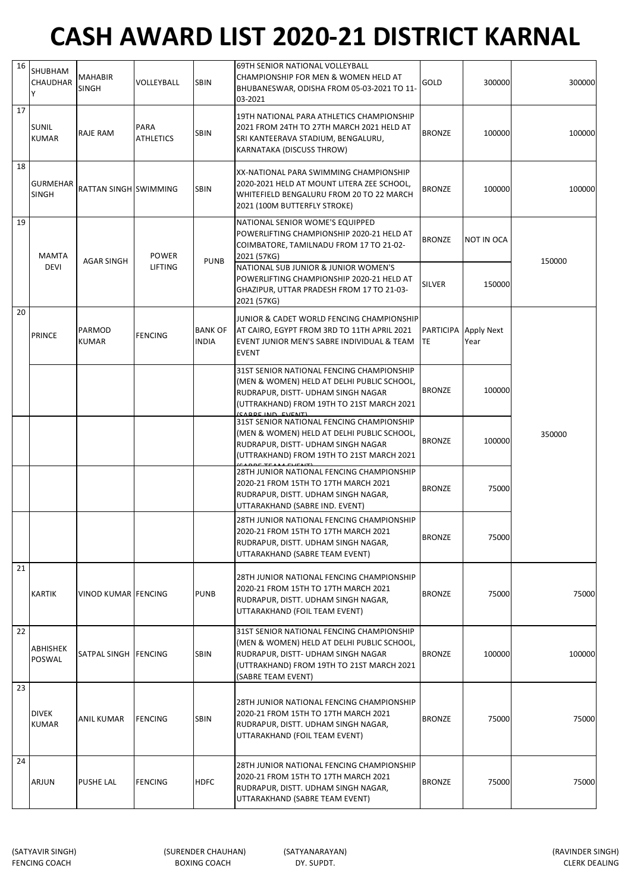| 16 | SHUBHAM<br><b>CHAUDHAR</b><br>Υ | MAHABIR<br><b>SINGH</b>    | VOLLEYBALL               | <b>SBIN</b>                    | 69TH SENIOR NATIONAL VOLLEYBALL<br>CHAMPIONSHIP FOR MEN & WOMEN HELD AT<br>BHUBANESWAR, ODISHA FROM 05-03-2021 TO 11-<br>03-2021                                                                                                                                         | GOLD                              | 300000                      | 300000 |
|----|---------------------------------|----------------------------|--------------------------|--------------------------------|--------------------------------------------------------------------------------------------------------------------------------------------------------------------------------------------------------------------------------------------------------------------------|-----------------------------------|-----------------------------|--------|
| 17 | <b>SUNIL</b><br><b>KUMAR</b>    | RAJE RAM                   | PARA<br><b>ATHLETICS</b> | <b>SBIN</b>                    | 19TH NATIONAL PARA ATHLETICS CHAMPIONSHIP<br>2021 FROM 24TH TO 27TH MARCH 2021 HELD AT<br>SRI KANTEERAVA STADIUM, BENGALURU,<br>KARNATAKA (DISCUSS THROW)                                                                                                                | <b>BRONZE</b>                     | 100000                      | 100000 |
| 18 | <b>GURMEHAR</b><br><b>SINGH</b> | RATTAN SINGH SWIMMING      |                          | <b>SBIN</b>                    | XX-NATIONAL PARA SWIMMING CHAMPIONSHIP<br>2020-2021 HELD AT MOUNT LITERA ZEE SCHOOL,<br>WHITEFIELD BENGALURU FROM 20 TO 22 MARCH<br>2021 (100M BUTTERFLY STROKE)                                                                                                         | <b>BRONZE</b>                     | 100000                      | 100000 |
| 19 | <b>MAMTA</b><br><b>DEVI</b>     | <b>AGAR SINGH</b>          | <b>POWER</b><br>LIFTING  | <b>PUNB</b>                    | NATIONAL SENIOR WOME'S EQUIPPED<br>POWERLIFTING CHAMPIONSHIP 2020-21 HELD AT<br>COIMBATORE, TAMILNADU FROM 17 TO 21-02-<br>2021 (57KG)<br>NATIONAL SUB JUNIOR & JUNIOR WOMEN'S<br>POWERLIFTING CHAMPIONSHIP 2020-21 HELD AT<br>GHAZIPUR, UTTAR PRADESH FROM 17 TO 21-03- | <b>BRONZE</b><br><b>SILVER</b>    | <b>NOT IN OCA</b><br>150000 | 150000 |
| 20 | <b>PRINCE</b>                   | PARMOD<br>KUMAR            | <b>FENCING</b>           | <b>BANK OF</b><br><b>INDIA</b> | 2021 (57KG)<br>JUNIOR & CADET WORLD FENCING CHAMPIONSHIP<br>AT CAIRO, EGYPT FROM 3RD TO 11TH APRIL 2021<br>EVENT JUNIOR MEN'S SABRE INDIVIDUAL & TEAM<br><b>EVENT</b>                                                                                                    | PARTICIPA Apply Next<br><b>TE</b> | Year                        |        |
|    |                                 |                            |                          |                                | 31ST SENIOR NATIONAL FENCING CHAMPIONSHIP<br>(MEN & WOMEN) HELD AT DELHI PUBLIC SCHOOL,<br>RUDRAPUR, DISTT- UDHAM SINGH NAGAR<br>(UTTRAKHAND) FROM 19TH TO 21ST MARCH 2021<br>CARDE IND EVENTI                                                                           | <b>BRONZE</b>                     | 100000                      |        |
|    |                                 |                            |                          |                                | 31ST SENIOR NATIONAL FENCING CHAMPIONSHIP<br>(MEN & WOMEN) HELD AT DELHI PUBLIC SCHOOL,<br>RUDRAPUR, DISTT- UDHAM SINGH NAGAR<br>(UTTRAKHAND) FROM 19TH TO 21ST MARCH 2021                                                                                               | <b>BRONZE</b>                     | 100000                      | 350000 |
|    |                                 |                            |                          |                                | 28TH JUNIOR NATIONAL FENCING CHAMPIONSHIP<br>2020-21 FROM 15TH TO 17TH MARCH 2021<br>RUDRAPUR, DISTT. UDHAM SINGH NAGAR,<br>UTTARAKHAND (SABRE IND. EVENT)                                                                                                               | <b>BRONZE</b>                     | 75000                       |        |
|    |                                 |                            |                          |                                | 28TH JUNIOR NATIONAL FENCING CHAMPIONSHIP<br>2020-21 FROM 15TH TO 17TH MARCH 2021<br>RUDRAPUR, DISTT. UDHAM SINGH NAGAR,<br>UTTARAKHAND (SABRE TEAM EVENT)                                                                                                               | <b>BRONZE</b>                     | 75000                       |        |
| 21 | <b>KARTIK</b>                   | <b>VINOD KUMAR FENCING</b> |                          | <b>PUNB</b>                    | 28TH JUNIOR NATIONAL FENCING CHAMPIONSHIP<br>2020-21 FROM 15TH TO 17TH MARCH 2021<br>RUDRAPUR, DISTT. UDHAM SINGH NAGAR,<br>UTTARAKHAND (FOIL TEAM EVENT)                                                                                                                | <b>BRONZE</b>                     | 75000                       | 75000  |
| 22 | ABHISHEK<br>POSWAL              | SATPAL SINGH FENCING       |                          | <b>SBIN</b>                    | 31ST SENIOR NATIONAL FENCING CHAMPIONSHIP<br>(MEN & WOMEN) HELD AT DELHI PUBLIC SCHOOL,<br>RUDRAPUR, DISTT- UDHAM SINGH NAGAR<br>(UTTRAKHAND) FROM 19TH TO 21ST MARCH 2021<br>(SABRE TEAM EVENT)                                                                         | <b>BRONZE</b>                     | 100000                      | 100000 |
| 23 | <b>DIVEK</b><br><b>KUMAR</b>    | ANIL KUMAR                 | <b>FENCING</b>           | <b>SBIN</b>                    | 28TH JUNIOR NATIONAL FENCING CHAMPIONSHIP<br>2020-21 FROM 15TH TO 17TH MARCH 2021<br>RUDRAPUR, DISTT. UDHAM SINGH NAGAR,<br>UTTARAKHAND (FOIL TEAM EVENT)                                                                                                                | <b>BRONZE</b>                     | 75000                       | 75000  |
| 24 | ARJUN                           | PUSHE LAL                  | <b>FENCING</b>           | <b>HDFC</b>                    | 28TH JUNIOR NATIONAL FENCING CHAMPIONSHIP<br>2020-21 FROM 15TH TO 17TH MARCH 2021<br>RUDRAPUR, DISTT. UDHAM SINGH NAGAR,<br>UTTARAKHAND (SABRE TEAM EVENT)                                                                                                               | <b>BRONZE</b>                     | 75000                       | 75000  |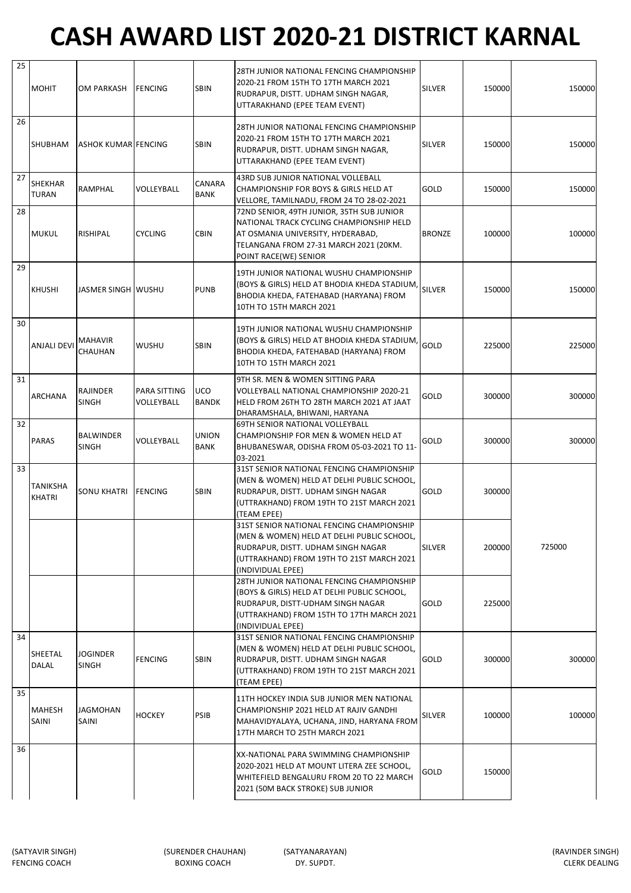| 25 | <b>MOHIT</b>              | <b>OM PARKASH</b>                | FENCING                    | <b>SBIN</b>                | 28TH JUNIOR NATIONAL FENCING CHAMPIONSHIP<br>2020-21 FROM 15TH TO 17TH MARCH 2021<br>RUDRAPUR, DISTT. UDHAM SINGH NAGAR,<br>UTTARAKHAND (EPEE TEAM EVENT)                                       | <b>SILVER</b> | 150000 | 150000 |
|----|---------------------------|----------------------------------|----------------------------|----------------------------|-------------------------------------------------------------------------------------------------------------------------------------------------------------------------------------------------|---------------|--------|--------|
| 26 | SHUBHAM                   | ASHOK KUMAR FENCING              |                            | <b>SBIN</b>                | 28TH JUNIOR NATIONAL FENCING CHAMPIONSHIP<br>2020-21 FROM 15TH TO 17TH MARCH 2021<br>RUDRAPUR, DISTT. UDHAM SINGH NAGAR,<br>UTTARAKHAND (EPEE TEAM EVENT)                                       | <b>SILVER</b> | 150000 | 150000 |
| 27 | SHEKHAR<br>TURAN          | <b>RAMPHAL</b>                   | VOLLEYBALL                 | CANARA<br><b>BANK</b>      | 43RD SUB JUNIOR NATIONAL VOLLEBALL<br>CHAMPIONSHIP FOR BOYS & GIRLS HELD AT<br>VELLORE, TAMILNADU, FROM 24 TO 28-02-2021                                                                        | GOLD          | 150000 | 150000 |
| 28 | <b>MUKUL</b>              | RISHIPAL                         | <b>CYCLING</b>             | <b>CBIN</b>                | 72ND SENIOR, 49TH JUNIOR, 35TH SUB JUNIOR<br>NATIONAL TRACK CYCLING CHAMPIONSHIP HELD<br>AT OSMANIA UNIVERSITY, HYDERABAD,<br>TELANGANA FROM 27-31 MARCH 2021 (20KM.<br>POINT RACE(WE) SENIOR   | <b>BRONZE</b> | 100000 | 100000 |
| 29 | <b>KHUSHI</b>             | JASMER SINGH WUSHU               |                            | <b>PUNB</b>                | 19TH JUNIOR NATIONAL WUSHU CHAMPIONSHIP<br>(BOYS & GIRLS) HELD AT BHODIA KHEDA STADIUM,<br>BHODIA KHEDA, FATEHABAD (HARYANA) FROM<br>10TH TO 15TH MARCH 2021                                    | <b>SILVER</b> | 150000 | 150000 |
| 30 | <b>ANJALI DEVI</b>        | <b>MAHAVIR</b><br>CHAUHAN        | WUSHU                      | <b>SBIN</b>                | 19TH JUNIOR NATIONAL WUSHU CHAMPIONSHIP<br>(BOYS & GIRLS) HELD AT BHODIA KHEDA STADIUM,<br>BHODIA KHEDA, FATEHABAD (HARYANA) FROM<br>10TH TO 15TH MARCH 2021                                    | GOLD          | 225000 | 225000 |
| 31 | ARCHANA                   | RAJINDER<br><b>SINGH</b>         | PARA SITTING<br>VOLLEYBALL | <b>UCO</b><br><b>BANDK</b> | 9TH SR. MEN & WOMEN SITTING PARA<br>VOLLEYBALL NATIONAL CHAMPIONSHIP 2020-21<br>HELD FROM 26TH TO 28TH MARCH 2021 AT JAAT<br>DHARAMSHALA, BHIWANI, HARYANA                                      | GOLD          | 300000 | 300000 |
| 32 | <b>PARAS</b>              | <b>BALWINDER</b><br><b>SINGH</b> | VOLLEYBALL                 | UNION<br><b>BANK</b>       | 69TH SENIOR NATIONAL VOLLEYBALL<br>CHAMPIONSHIP FOR MEN & WOMEN HELD AT<br>BHUBANESWAR, ODISHA FROM 05-03-2021 TO 11-<br>03-2021                                                                | GOLD          | 300000 | 300000 |
| 33 | TANIKSHA<br><b>KHATRI</b> | SONU KHATRI                      | <b>FENCING</b>             | <b>SBIN</b>                | 31ST SENIOR NATIONAL FENCING CHAMPIONSHIP<br>(MEN & WOMEN) HELD AT DELHI PUBLIC SCHOOL,<br>RUDRAPUR, DISTT. UDHAM SINGH NAGAR<br>(UTTRAKHAND) FROM 19TH TO 21ST MARCH 2021<br>(TEAM EPEE)       | GOLD          | 300000 |        |
|    |                           |                                  |                            |                            | 31ST SENIOR NATIONAL FENCING CHAMPIONSHIP<br>(MEN & WOMEN) HELD AT DELHI PUBLIC SCHOOL,<br>RUDRAPUR, DISTT. UDHAM SINGH NAGAR<br>(UTTRAKHAND) FROM 19TH TO 21ST MARCH 2021<br>(INDIVIDUAL EPEE) | SILVER        | 200000 | 725000 |
|    |                           |                                  |                            |                            | 28TH JUNIOR NATIONAL FENCING CHAMPIONSHIP<br>(BOYS & GIRLS) HELD AT DELHI PUBLIC SCHOOL,<br>RUDRAPUR, DISTT-UDHAM SINGH NAGAR<br>(UTTRAKHAND) FROM 15TH TO 17TH MARCH 2021<br>(INDIVIDUAL EPEE) | GOLD          | 225000 |        |
| 34 | SHEETAL<br>DALAL          | JOGINDER<br><b>SINGH</b>         | <b>FENCING</b>             | <b>SBIN</b>                | 31ST SENIOR NATIONAL FENCING CHAMPIONSHIP<br>(MEN & WOMEN) HELD AT DELHI PUBLIC SCHOOL,<br>RUDRAPUR, DISTT. UDHAM SINGH NAGAR<br>(UTTRAKHAND) FROM 19TH TO 21ST MARCH 2021<br>(TEAM EPEE)       | GOLD          | 300000 | 300000 |
| 35 | MAHESH<br>SAINI           | <b>JAGMOHAN</b><br>SAINI         | <b>HOCKEY</b>              | PSIB                       | 11TH HOCKEY INDIA SUB JUNIOR MEN NATIONAL<br>CHAMPIONSHIP 2021 HELD AT RAJIV GANDHI<br>MAHAVIDYALAYA, UCHANA, JIND, HARYANA FROM<br>17TH MARCH TO 25TH MARCH 2021                               | SILVER        | 100000 | 100000 |
| 36 |                           |                                  |                            |                            | XX-NATIONAL PARA SWIMMING CHAMPIONSHIP<br>2020-2021 HELD AT MOUNT LITERA ZEE SCHOOL,<br>WHITEFIELD BENGALURU FROM 20 TO 22 MARCH<br>2021 (50M BACK STROKE) SUB JUNIOR                           | GOLD          | 150000 |        |